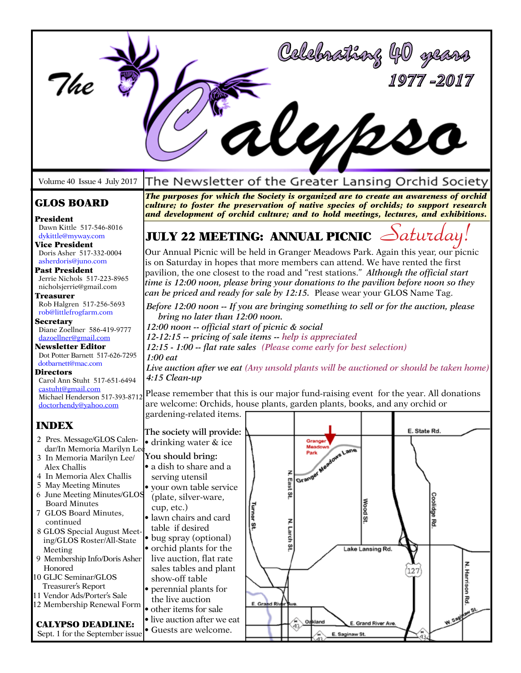|                                                                                                                                                                                                                                                                                                                                                                                                                                                                                                                                                                        |                                                                                                                                                                                                                                                                                                                                                                                                                                                                                                                                                                                                                                                                                                                                                                                                                                                                                                             |                                                                | Celebrathaz 40                                                     |                                                          | 1977 -2017                                                     |
|------------------------------------------------------------------------------------------------------------------------------------------------------------------------------------------------------------------------------------------------------------------------------------------------------------------------------------------------------------------------------------------------------------------------------------------------------------------------------------------------------------------------------------------------------------------------|-------------------------------------------------------------------------------------------------------------------------------------------------------------------------------------------------------------------------------------------------------------------------------------------------------------------------------------------------------------------------------------------------------------------------------------------------------------------------------------------------------------------------------------------------------------------------------------------------------------------------------------------------------------------------------------------------------------------------------------------------------------------------------------------------------------------------------------------------------------------------------------------------------------|----------------------------------------------------------------|--------------------------------------------------------------------|----------------------------------------------------------|----------------------------------------------------------------|
| Volume 40 Issue 4 July 2017                                                                                                                                                                                                                                                                                                                                                                                                                                                                                                                                            | The Newsletter of the Greater Lansing Orchid Society                                                                                                                                                                                                                                                                                                                                                                                                                                                                                                                                                                                                                                                                                                                                                                                                                                                        |                                                                |                                                                    |                                                          |                                                                |
| <b>GLOS BOARD</b><br>President<br>Dawn Kittle 517-546-8016                                                                                                                                                                                                                                                                                                                                                                                                                                                                                                             | The purposes for which the Society is organized are to create an awareness of orchid<br>culture; to foster the preservation of native species of orchids; to support research<br>and development of orchid culture; and to hold meetings, lectures, and exhibitions.                                                                                                                                                                                                                                                                                                                                                                                                                                                                                                                                                                                                                                        |                                                                |                                                                    |                                                          |                                                                |
| dykittle@myway.com<br><b>Vice President</b><br>Doris Asher 517-332-0004<br>asherdoris@juno.com<br><b>Past President</b><br>Jerrie Nichols 517-223-8965<br>nicholsjerrie@gmail.com<br>Treasurer<br>Rob Halgren 517-256-5693<br>rob@littlefrogfarm.com<br><b>Secretary</b><br>Diane Zoellner 586-419-9777<br>dazoellner@gmail.com<br><b>Newsletter Editor</b><br>Dot Potter Barnett 517-626-7295<br>dotbarnett@mac.com<br><b>Directors</b>                                                                                                                               | <b>JULY 22 MEETING: ANNUAL PICNIC</b><br>Our Annual Picnic will be held in Granger Meadows Park. Again this year, our picnic<br>is on Saturday in hopes that more members can attend. We have rented the first<br>pavilion, the one closest to the road and "rest stations." Although the official start<br>time is 12:00 noon, please bring your donations to the pavilion before noon so they<br>can be priced and ready for sale by 12:15. Please wear your GLOS Name Tag.<br>Before 12:00 noon -- If you are bringing something to sell or for the auction, please<br>bring no later than 12:00 noon.<br>12:00 noon -- official start of picnic & social<br>12-12:15 -- pricing of sale items -- help is appreciated<br>12:15 - 1:00 -- flat rate sales (Please come early for best selection)<br>$1:00$ eat<br>Live auction after we eat (Any unsold plants will be auctioned or should be taken home) |                                                                |                                                                    |                                                          | aturday.                                                       |
| Carol Ann Stuht 517-651-6494<br>castuht@gmail.com<br>Michael Henderson 517-393-8712<br>doctorhendy@vahoo.com                                                                                                                                                                                                                                                                                                                                                                                                                                                           | 4:15 Clean-up<br>Please remember that this is our major fund-raising event for the year. All donations<br>are welcome: Orchids, house plants, garden plants, books, and any orchid or<br>gardening-related items.                                                                                                                                                                                                                                                                                                                                                                                                                                                                                                                                                                                                                                                                                           |                                                                |                                                                    |                                                          |                                                                |
| <b>INDEX</b><br>2 Pres. Message/GLOS Calen-<br>dar/In Memoria Marilyn Lee<br>3 In Memoria Marilyn Lee/<br>Alex Challis<br>4 In Memoria Alex Challis<br>5 May Meeting Minutes<br>6 June Meeting Minutes/GLOS<br><b>Board Minutes</b><br>7 GLOS Board Minutes,<br>continued<br>8 GLOS Special August Meet-<br>ing/GLOS Roster/All-State<br>Meeting<br>9 Membership Info/Doris Asher<br>Honored<br>10 GLJC Seminar/GLOS<br>Treasurer's Report<br>11 Vendor Ads/Porter's Sale<br>12 Membership Renewal Form<br><b>CALYPSO DEADLINE:</b><br>Sept. 1 for the September issue | The society will provide:<br>• drinking water & ice<br>You should bring:<br>• a dish to share and a<br>serving utensil<br>• your own table service<br>(plate, silver-ware,<br>cup, etc.)<br>· lawn chairs and card<br>table if desired<br>· bug spray (optional)<br>• orchid plants for the<br>live auction, flat rate<br>sales tables and plant<br>show-off table<br>• perennial plants for<br>the live auction<br>· other items for sale<br>• live auction after we eat<br>· Guests are welcome.                                                                                                                                                                                                                                                                                                                                                                                                          | East<br>8<br>Turner<br>N. Larch St.<br>ă<br>E. Grand River Ave | Grange<br>Granger Needows Lane<br>Oakland<br>43.<br>E. Saginaw St. | <b>Nood St</b><br>Lake Lansing Rd.<br>E. Grand River Ave | E. State Rd.<br>oolidge Rd<br>N. Harrison Rd.<br>W. Sagylaw S. |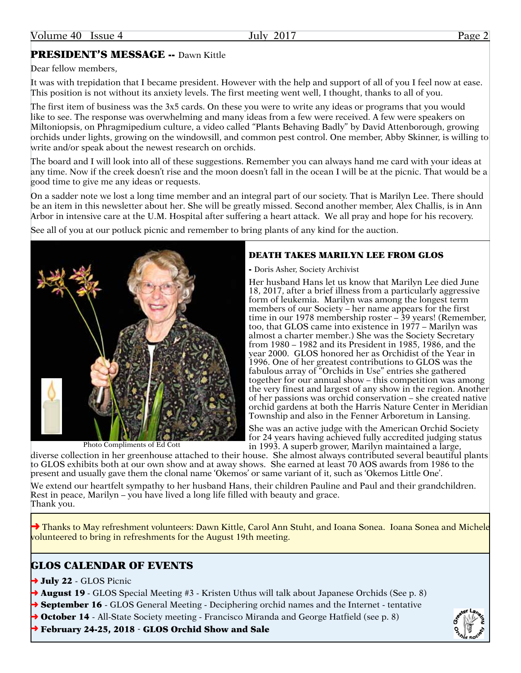# PRESIDENT'S MESSAGE -- Dawn Kittle

Dear fellow members,

It was with trepidation that I became president. However with the help and support of all of you I feel now at ease. This position is not without its anxiety levels. The first meeting went well, I thought, thanks to all of you.

The first item of business was the 3x5 cards. On these you were to write any ideas or programs that you would like to see. The response was overwhelming and many ideas from a few were received. A few were speakers on Miltoniopsis, on Phragmipedium culture, a video called "Plants Behaving Badly" by David Attenborough, growing orchids under lights, growing on the windowsill, and common pest control. One member, Abby Skinner, is willing to write and/or speak about the newest research on orchids.

The board and I will look into all of these suggestions. Remember you can always hand me card with your ideas at any time. Now if the creek doesn't rise and the moon doesn't fall in the ocean I will be at the picnic. That would be a good time to give me any ideas or requests.

On a sadder note we lost a long time member and an integral part of our society. That is Marilyn Lee. There should be an item in this newsletter about her. She will be greatly missed. Second another member, Alex Challis, is in Ann Arbor in intensive care at the U.M. Hospital after suffering a heart attack. We all pray and hope for his recovery.

See all of you at our potluck picnic and remember to bring plants of any kind for the auction.

### DEATH TAKES MARILYN LEE FROM GLOS

- Doris Asher, Society Archivist

Her husband Hans let us know that Marilyn Lee died June 18, 2017, after a brief illness from a particularly aggressive form of leukemia. Marilyn was among the longest term members of our Society – her name appears for the first time in our 1978 membership roster – 39 years! (Remember, too, that GLOS came into existence in 1977 – Marilyn was almost a charter member.) She was the Society Secretary from 1980 – 1982 and its President in 1985, 1986, and the year 2000. GLOS honored her as Orchidist of the Year in 1996. One of her greatest contributions to GLOS was the fabulous array of "Orchids in Use" entries she gathered together for our annual show – this competition was among the very finest and largest of any show in the region. Another of her passions was orchid conservation – she created native orchid gardens at both the Harris Nature Center in Meridian

She was an active judge with the American Orchid Society for 24 years having achieved fully accredited judging status

diverse collection in her greenhouse attached to their house. She almost always contributed several beautiful plants to GLOS exhibits both at our own show and at away shows. She earned at least 70 AOS awards from 1986 to the present and usually gave them the clonal name 'Okemos' or same variant of it, such as 'Okemos Little One'.

We extend our heartfelt sympathy to her husband Hans, their children Pauline and Paul and their grandchildren. Rest in peace, Marilyn – you have lived a long life filled with beauty and grace. Thank you.

→ Thanks to May refreshment volunteers: Dawn Kittle, Carol Ann Stuht, and Ioana Sonea. Ioana Sonea and Michele volunteered to bring in refreshments for the August 19th meeting.

# GLOS CALENDAR OF EVENTS

 $\rightarrow$  July 22 - GLOS Picnic

**→ August 19** - GLOS Special Meeting #3 - Kristen Uthus will talk about Japanese Orchids (See p. 8)

**→ September 16** - GLOS General Meeting - Deciphering orchid names and the Internet - tentative

**→ October 14** - All-State Society meeting - Francisco Miranda and George Hatfield (see p. 8)

➜ February 24-25, 2018 - GLOS Orchid Show and Sale

Township and also in the Fenner Arboretum in Lansing.

in 1993. A superb grower, Marilyn maintained a large,

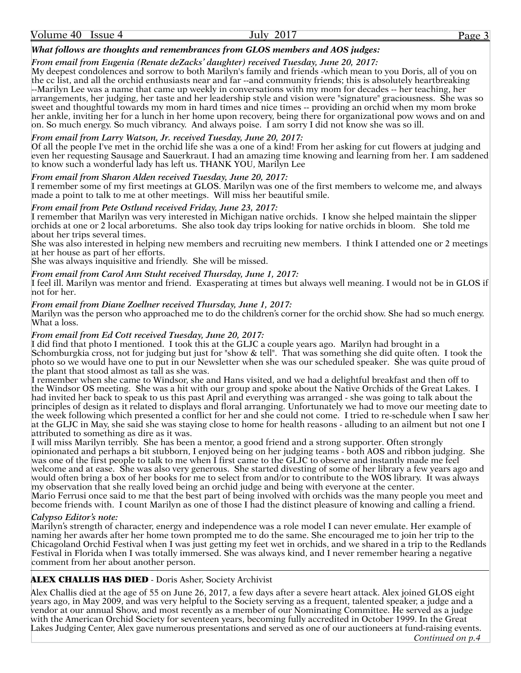#### *What follows are thoughts and remembrances from GLOS members and AOS judges:*

#### *From email from Eugenia (Renate deZacks' daughter) received Tuesday, June 20, 2017:*

My deepest condolences and sorrow to both Marilyn's family and friends -which mean to you Doris, all of you on the cc list, and all the orchid enthusiasts near and far --and community friends; this is absolutely heartbreaking --Marilyn Lee was a name that came up weekly in conversations with my mom for decades -- her teaching, her arrangements, her judging, her taste and her leadership style and vision were "signature" graciousness. She was so sweet and thoughtful towards my mom in hard times and nice times -- providing an orchid when my mom broke her ankle, inviting her for a lunch in her home upon recovery, being there for organizational pow wows and on and on. So much energy. So much vibrancy. And always poise. I am sorry I did not know she was so ill.

#### *From email from Larry Watson, Jr. received Tuesday, June 20, 2017:*

Of all the people I've met in the orchid life she was a one of a kind! From her asking for cut flowers at judging and even her requesting Sausage and Sauerkraut. I had an amazing time knowing and learning from her. I am saddened to know such a wonderful lady has left us. THANK YOU, Marilyn Lee

#### *From email from Sharon Alden received Tuesday, June 20, 2017:*

I remember some of my first meetings at GLOS. Marilyn was one of the first members to welcome me, and always made a point to talk to me at other meetings. Will miss her beautiful smile.

#### *From email from Pete Ostlund received Friday, June 23, 2017:*

I remember that Marilyn was very interested in Michigan native orchids. I know she helped maintain the slipper orchids at one or 2 local arboretums. She also took day trips looking for native orchids in bloom. She told me about her trips several times.

She was also interested in helping new members and recruiting new members. I think I attended one or 2 meetings at her house as part of her efforts.

She was always inquisitive and friendly. She will be missed.

#### *From email from Carol Ann Stuht received Thursday, June 1, 2017:*

I feel ill. Marilyn was mentor and friend. Exasperating at times but always well meaning. I would not be in GLOS if not for her.

#### *From email from Diane Zoellner received Thursday, June 1, 2017:*

Marilyn was the person who approached me to do the children's corner for the orchid show. She had so much energy. What a loss.

#### *From email from Ed Cott received Tuesday, June 20, 2017:*

I did find that photo I mentioned. I took this at the GLJC a couple years ago. Marilyn had brought in a Schomburgkia cross, not for judging but just for "show & tell". That was something she did quite often. I took the photo so we would have one to put in our Newsletter when she was our scheduled speaker. She was quite proud of the plant that stood almost as tall as she was.

I remember when she came to Windsor, she and Hans visited, and we had a delightful breakfast and then off to the Windsor OS meeting. She was a hit with our group and spoke about the Native Orchids of the Great Lakes. I had invited her back to speak to us this past April and everything was arranged - she was going to talk about the principles of design as it related to displays and floral arranging. Unfortunately we had to move our meeting date to the week following which presented a conflict for her and she could not come. I tried to re-schedule when I saw her at the GLJC in May, she said she was staying close to home for health reasons - alluding to an ailment but not one I attributed to something as dire as it was.

I will miss Marilyn terribly. She has been a mentor, a good friend and a strong supporter. Often strongly opinionated and perhaps a bit stubborn, I enjoyed being on her judging teams - both AOS and ribbon judging. She was one of the first people to talk to me when I first came to the GLJC to observe and instantly made me feel welcome and at ease. She was also very generous. She started divesting of some of her library a few years ago and would often bring a box of her books for me to select from and/or to contribute to the WOS library. It was always my observation that she really loved being an orchid judge and being with everyone at the center.

Mario Ferrusi once said to me that the best part of being involved with orchids was the many people you meet and become friends with. I count Marilyn as one of those I had the distinct pleasure of knowing and calling a friend.

#### *Calypso Editor's note:*

Marilyn's strength of character, energy and independence was a role model I can never emulate. Her example of naming her awards after her home town prompted me to do the same. She encouraged me to join her trip to the Chicagoland Orchid Festival when I was just getting my feet wet in orchids, and we shared in a trip to the Redlands Festival in Florida when I was totally immersed. She was always kind, and I never remember hearing a negative comment from her about another person.

#### ALEX CHALLIS HAS DIED - Doris Asher, Society Archivist

Alex Challis died at the age of 55 on June 26, 2017, a few days after a severe heart attack. Alex joined GLOS eight years ago, in May 2009, and was very helpful to the Society serving as a frequent, talented speaker, a judge and a vendor at our annual Show, and most recently as a member of our Nominating Committee. He served as a judge with the American Orchid Society for seventeen years, becoming fully accredited in October 1999. In the Great Lakes Judging Center, Alex gave numerous presentations and served as one of our auctioneers at fund-raising events. *Continued on p.4*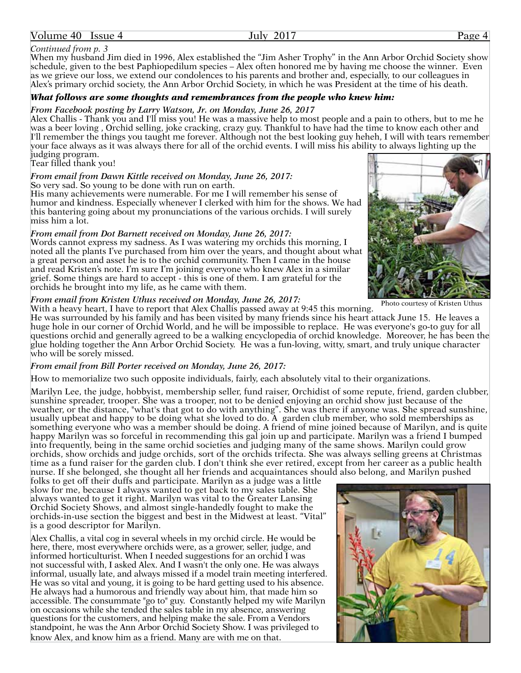#### Volume 40 Issue 4 July 2017 Page 4

#### *Continued from p. 3*

When my husband Jim died in 1996, Alex established the "Jim Asher Trophy" in the Ann Arbor Orchid Society show schedule, given to the best Paphiopedilum species – Alex often honored me by having me choose the winner. Even as we grieve our loss, we extend our condolences to his parents and brother and, especially, to our colleagues in Alex's primary orchid society, the Ann Arbor Orchid Society, in which he was President at the time of his death.

#### *What follows are some thoughts and remembrances from the people who knew him:*

#### *From Facebook posting by Larry Watson, Jr. on Monday, June 26, 2017*

Alex Challis - Thank you and I'll miss you! He was a massive help to most people and a pain to others, but to me he was a beer loving , Orchid selling, joke cracking, crazy guy. Thankful to have had the time to know each other and I'll remember the things you taught me forever. Although not the best looking guy heheh, I will with tears remember your face always as it was always there for all of the orchid events. I will miss his ability to always lighting up the judging program.

#### Tear filled thank you!

#### *From email from Dawn Kittle received on Monday, June 26, 2017:*

So very sad. So young to be done with run on earth.

His many achievements were numerable. For me I will remember his sense of humor and kindness. Especially whenever I clerked with him for the shows. We had this bantering going about my pronunciations of the various orchids. I will surely miss him a lot.

#### *From email from Dot Barnett received on Monday, June 26, 2017:*

Words cannot express my sadness. As I was watering my orchids this morning, I noted all the plants I've purchased from him over the years, and thought about what a great person and asset he is to the orchid community. Then I came in the house and read Kristen's note. I'm sure I'm joining everyone who knew Alex in a similar grief. Some things are hard to accept - this is one of them. I am grateful for the orchids he brought into my life, as he came with them.

#### *From email from Kristen Uthus received on Monday, June 26, 2017:*

With a heavy heart, I have to report that Alex Challis passed away at 9:45 this morning.

He was surrounded by his family and has been visited by many friends since his heart attack June 15. He leaves a huge hole in our corner of Orchid World, and he will be impossible to replace. He was everyone's go-to guy for all questions orchid and generally agreed to be a walking encyclopedia of orchid knowledge. Moreover, he has been the glue holding together the Ann Arbor Orchid Society. He was a fun-loving, witty, smart, and truly unique character who will be sorely missed.

#### *From email from Bill Porter received on Monday, June 26, 2017:*

How to memorialize two such opposite individuals, fairly, each absolutely vital to their organizations.

Marilyn Lee, the judge, hobbyist, membership seller, fund raiser, Orchidist of some repute, friend, garden clubber, sunshine spreader, trooper. She was a trooper, not to be denied enjoying an orchid show just because of the weather, or the distance, "what's that got to do with anything". She was there if anyone was. She spread sunshine, usually upbeat and happy to be doing what she loved to do. A garden club member, who sold memberships as something everyone who was a member should be doing. A friend of mine joined because of Marilyn, and is quite happy Marilyn was so forceful in recommending this gal join up and participate. Marilyn was a friend I bumped into frequently, being in the same orchid societies and judging many of the same shows. Marilyn could grow orchids, show orchids and judge orchids, sort of the orchids trifecta. She was always selling greens at Christmas time as a fund raiser for the garden club. I don't think she ever retired, except from her career as a public health nurse. If she belonged, she thought all her friends and acquaintances should also belong, and Marilyn pushed

folks to get off their duffs and participate. Marilyn as a judge was a little slow for me, because I always wanted to get back to my sales table. She always wanted to get it right. Marilyn was vital to the Greater Lansing Orchid Society Shows, and almost single-handedly fought to make the orchids-in-use section the biggest and best in the Midwest at least. "Vital" is a good descriptor for Marilyn.

Alex Challis, a vital cog in several wheels in my orchid circle. He would be here, there, most everywhere orchids were, as a grower, seller, judge, and informed horticulturist. When I needed suggestions for an orchid I was not successful with, I asked Alex. And I wasn't the only one. He was always informal, usually late, and always missed if a model train meeting interfered. He was so vital and young, it is going to be hard getting used to his absence. He always had a humorous and friendly way about him, that made him so accessible. The consummate "go to" guy. Constantly helped my wife Marilyn on occasions while she tended the sales table in my absence, answering questions for the customers, and helping make the sale. From a Vendors standpoint, he was the Ann Arbor Orchid Society Show. I was privileged to know Alex, and know him as a friend. Many are with me on that.

Photo courtesy of Kristen Uthus





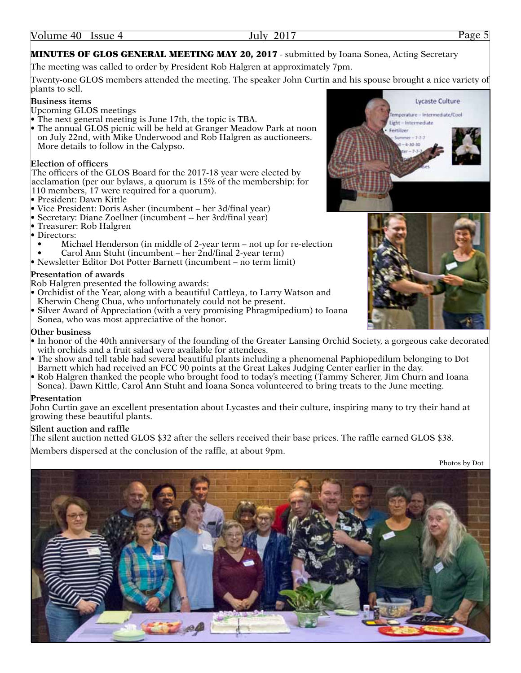# MINUTES OF GLOS GENERAL MEETING MAY 20, 2017 - submitted by Ioana Sonea, Acting Secretary

The meeting was called to order by President Rob Halgren at approximately 7pm.

Twenty-one GLOS members attended the meeting. The speaker John Curtin and his spouse brought a nice variety of plants to sell.

#### **Business items**

Upcoming GLOS meetings

- The next general meeting is June 17th, the topic is TBA.
- The annual GLOS picnic will be held at Granger Meadow Park at noon on July 22nd, with Mike Underwood and Rob Halgren as auctioneers. More details to follow in the Calypso.

#### **Election of officers**

The officers of the GLOS Board for the 2017-18 year were elected by acclamation (per our bylaws, a quorum is 15% of the membership: for 110 members, 17 were required for a quorum).

- President: Dawn Kittle
- Vice President: Doris Asher (incumbent her 3d/final year)
- Secretary: Diane Zoellner (incumbent -- her 3rd/final year)
- Treasurer: Rob Halgren
- Directors:
- Michael Henderson (in middle of 2-year term not up for re-election
- Carol Ann Stuht (incumbent her 2nd/final 2-year term)
- Newsletter Editor Dot Potter Barnett (incumbent no term limit)

#### **Presentation of awards**

Rob Halgren presented the following awards:

- Orchidist of the Year, along with a beautiful Cattleya, to Larry Watson and Kherwin Cheng Chua, who unfortunately could not be present.
- Silver Award of Appreciation (with a very promising Phragmipedium) to Ioana Sonea, who was most appreciative of the honor.

#### **Other business**

- In honor of the 40th anniversary of the founding of the Greater Lansing Orchid Society, a gorgeous cake decorated with orchids and a fruit salad were available for attendees.
- The show and tell table had several beautiful plants including a phenomenal Paphiopedilum belonging to Dot Barnett which had received an FCC 90 points at the Great Lakes Judging Center earlier in the day.
- Rob Halgren thanked the people who brought food to today's meeting (Tammy Scherer, Jim Churn and Ioana Sonea). Dawn Kittle, Carol Ann Stuht and Ioana Sonea volunteered to bring treats to the June meeting.

#### **Presentation**

John Curtin gave an excellent presentation about Lycastes and their culture, inspiring many to try their hand at growing these beautiful plants.

#### **Silent auction and raffle**

The silent auction netted GLOS \$32 after the sellers received their base prices. The raffle earned GLOS \$38.

Members dispersed at the conclusion of the raffle, at about 9pm.







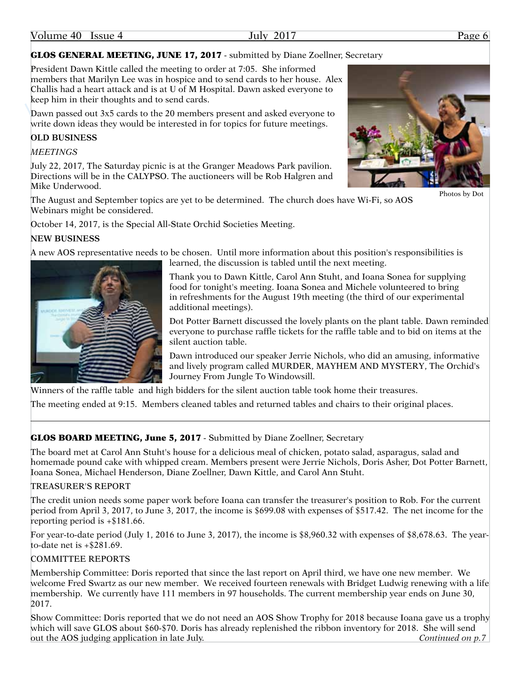| Volume 40<br>July<br><b>Issue 4</b> | 2017 | $P_{\text{age}}$ |
|-------------------------------------|------|------------------|
|-------------------------------------|------|------------------|

# GLOS GENERAL MEETING, JUNE 17, 2017 - submitted by Diane Zoellner, Secretary

President Dawn Kittle called the meeting to order at 7:05. She informed members that Marilyn Lee was in hospice and to send cards to her house. Alex Challis had a heart attack and is at U of M Hospital. Dawn asked everyone to keep him in their thoughts and to send cards.

Dawn passed out 3x5 cards to the 20 members present and asked everyone to write down ideas they would be interested in for topics for future meetings.

# **OLD BUSINESS**

*MEETINGS*

July 22, 2017, The Saturday picnic is at the Granger Meadows Park pavilion. Directions will be in the CALYPSO. The auctioneers will be Rob Halgren and Mike Underwood.

The August and September topics are yet to be determined. The church does have Wi-Fi, so AOS Webinars might be considered.

October 14, 2017, is the Special All-State Orchid Societies Meeting.

# **NEW BUSINESS**

A new AOS representative needs to be chosen. Until more information about this position's responsibilities is learned, the discussion is tabled until the next meeting.



Thank you to Dawn Kittle, Carol Ann Stuht, and Ioana Sonea for supplying food for tonight's meeting. Ioana Sonea and Michele volunteered to bring in refreshments for the August 19th meeting (the third of our experimental additional meetings).

Dot Potter Barnett discussed the lovely plants on the plant table. Dawn reminded everyone to purchase raffle tickets for the raffle table and to bid on items at the silent auction table.

Dawn introduced our speaker Jerrie Nichols, who did an amusing, informative and lively program called MURDER, MAYHEM AND MYSTERY, The Orchid's Journey From Jungle To Windowsill.

Winners of the raffle table and high bidders for the silent auction table took home their treasures.

The meeting ended at 9:15. Members cleaned tables and returned tables and chairs to their original places.

# GLOS BOARD MEETING, June 5, 2017 - Submitted by Diane Zoellner, Secretary

The board met at Carol Ann Stuht's house for a delicious meal of chicken, potato salad, asparagus, salad and homemade pound cake with whipped cream. Members present were Jerrie Nichols, Doris Asher, Dot Potter Barnett, Ioana Sonea, Michael Henderson, Diane Zoellner, Dawn Kittle, and Carol Ann Stuht.

#### TREASURER'S REPORT

The credit union needs some paper work before Ioana can transfer the treasurer's position to Rob. For the current period from April 3, 2017, to June 3, 2017, the income is \$699.08 with expenses of \$517.42. The net income for the reporting period is +\$181.66.

For year-to-date period (July 1, 2016 to June 3, 2017), the income is \$8,960.32 with expenses of \$8,678.63. The yearto-date net is +\$281.69.

# COMMITTEE REPORTS

Membership Committee: Doris reported that since the last report on April third, we have one new member. We welcome Fred Swartz as our new member. We received fourteen renewals with Bridget Ludwig renewing with a life membership. We currently have 111 members in 97 households. The current membership year ends on June 30, 2017.

Show Committee: Doris reported that we do not need an AOS Show Trophy for 2018 because Ioana gave us a trophy which will save GLOS about \$60-\$70. Doris has already replenished the ribbon inventory for 2018. She will send out the AOS judging application in late July. *Continued on p.7*



Photos by Dot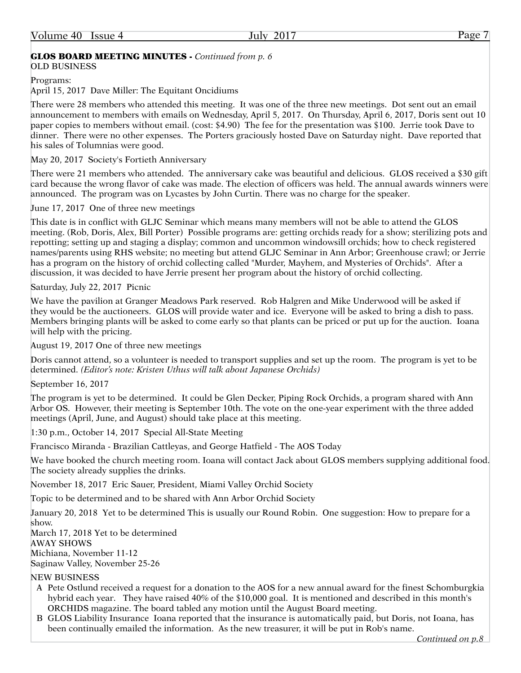### GLOS BOARD MEETING MINUTES - *Continued from p. 6*

OLD BUSINESS

Programs:

April 15, 2017 Dave Miller: The Equitant Oncidiums

There were 28 members who attended this meeting. It was one of the three new meetings. Dot sent out an email announcement to members with emails on Wednesday, April 5, 2017. On Thursday, April 6, 2017, Doris sent out 10 paper copies to members without email. (cost: \$4.90) The fee for the presentation was \$100. Jerrie took Dave to dinner. There were no other expenses. The Porters graciously hosted Dave on Saturday night. Dave reported that his sales of Tolumnias were good.

May 20, 2017 Society's Fortieth Anniversary

There were 21 members who attended. The anniversary cake was beautiful and delicious. GLOS received a \$30 gift card because the wrong flavor of cake was made. The election of officers was held. The annual awards winners were announced. The program was on Lycastes by John Curtin. There was no charge for the speaker.

June 17, 2017 One of three new meetings

This date is in conflict with GLJC Seminar which means many members will not be able to attend the GLOS meeting. (Rob, Doris, Alex, Bill Porter) Possible programs are: getting orchids ready for a show; sterilizing pots and repotting; setting up and staging a display; common and uncommon windowsill orchids; how to check registered names/parents using RHS website; no meeting but attend GLJC Seminar in Ann Arbor; Greenhouse crawl; or Jerrie has a program on the history of orchid collecting called "Murder, Mayhem, and Mysteries of Orchids". After a discussion, it was decided to have Jerrie present her program about the history of orchid collecting.

Saturday, July 22, 2017 Picnic

We have the pavilion at Granger Meadows Park reserved. Rob Halgren and Mike Underwood will be asked if they would be the auctioneers. GLOS will provide water and ice. Everyone will be asked to bring a dish to pass. Members bringing plants will be asked to come early so that plants can be priced or put up for the auction. Ioana will help with the pricing.

August 19, 2017 One of three new meetings

Doris cannot attend, so a volunteer is needed to transport supplies and set up the room. The program is yet to be determined. *(Editor's note: Kristen Uthus will talk about Japanese Orchids)*

September 16, 2017

The program is yet to be determined. It could be Glen Decker, Piping Rock Orchids, a program shared with Ann Arbor OS. However, their meeting is September 10th. The vote on the one-year experiment with the three added meetings (April, June, and August) should take place at this meeting.

1:30 p.m., October 14, 2017 Special All-State Meeting

Francisco Miranda - Brazilian Cattleyas, and George Hatfield - The AOS Today

We have booked the church meeting room. Ioana will contact Jack about GLOS members supplying additional food. The society already supplies the drinks.

November 18, 2017 Eric Sauer, President, Miami Valley Orchid Society

Topic to be determined and to be shared with Ann Arbor Orchid Society

January 20, 2018 Yet to be determined This is usually our Round Robin. One suggestion: How to prepare for a show.

March 17, 2018 Yet to be determined

AWAY SHOWS

Michiana, November 11-12

Saginaw Valley, November 25-26

#### NEW BUSINESS

- A Pete Ostlund received a request for a donation to the AOS for a new annual award for the finest Schomburgkia hybrid each year. They have raised 40% of the \$10,000 goal. It is mentioned and described in this month's ORCHIDS magazine. The board tabled any motion until the August Board meeting.
- B GLOS Liability Insurance Ioana reported that the insurance is automatically paid, but Doris, not Ioana, has been continually emailed the information. As the new treasurer, it will be put in Rob's name.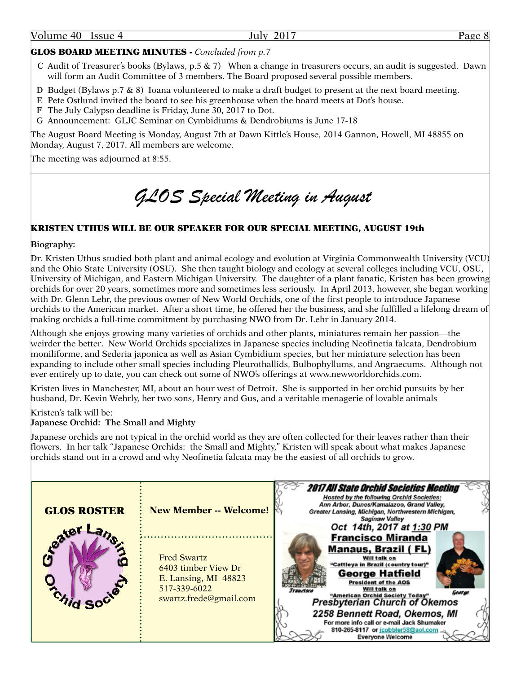| Volume 40 | Issue 4 | 20<br>ulv. | $-$ age |
|-----------|---------|------------|---------|
|           |         |            |         |

#### GLOS BOARD MEETING MINUTES - *Concluded from p.7*

- C Audit of Treasurer's books (Bylaws, p.5 & 7) When a change in treasurers occurs, an audit is suggested. Dawn will form an Audit Committee of 3 members. The Board proposed several possible members.
- D Budget (Bylaws p.7 & 8) Ioana volunteered to make a draft budget to present at the next board meeting.
- E Pete Ostlund invited the board to see his greenhouse when the board meets at Dot's house.
- F The July Calypso deadline is Friday, June 30, 2017 to Dot.
- G Announcement: GLJC Seminar on Cymbidiums & Dendrobiums is June 17-18

The August Board Meeting is Monday, August 7th at Dawn Kittle's House, 2014 Gannon, Howell, MI 48855 on Monday, August 7, 2017. All members are welcome.

The meeting was adjourned at 8:55.

# *GLOS Special Meeting in August*

#### KRISTEN UTHUS WILL BE OUR SPEAKER FOR OUR SPECIAL MEETING, AUGUST 19th

**Biography:**

Dr. Kristen Uthus studied both plant and animal ecology and evolution at Virginia Commonwealth University (VCU) and the Ohio State University (OSU). She then taught biology and ecology at several colleges including VCU, OSU, University of Michigan, and Eastern Michigan University. The daughter of a plant fanatic, Kristen has been growing orchids for over 20 years, sometimes more and sometimes less seriously. In April 2013, however, she began working with Dr. Glenn Lehr, the previous owner of New World Orchids, one of the first people to introduce Japanese orchids to the American market. After a short time, he offered her the business, and she fulfilled a lifelong dream of making orchids a full-time commitment by purchasing NWO from Dr. Lehr in January 2014.

Although she enjoys growing many varieties of orchids and other plants, miniatures remain her passion—the weirder the better. New World Orchids specializes in Japanese species including Neofinetia falcata, Dendrobium moniliforme, and Sederia japonica as well as Asian Cymbidium species, but her miniature selection has been expanding to include other small species including Pleurothallids, Bulbophyllums, and Angraecums. Although not ever entirely up to date, you can check out some of NWO's offerings at www.newworldorchids.com.

Kristen lives in Manchester, MI, about an hour west of Detroit. She is supported in her orchid pursuits by her husband, Dr. Kevin Wehrly, her two sons, Henry and Gus, and a veritable menagerie of lovable animals

#### Kristen's talk will be: **Japanese Orchid: The Small and Mighty**

Japanese orchids are not typical in the orchid world as they are often collected for their leaves rather than their flowers. In her talk "Japanese Orchids: the Small and Mighty," Kristen will speak about what makes Japanese orchids stand out in a crowd and why Neofinetia falcata may be the easiest of all orchids to grow.

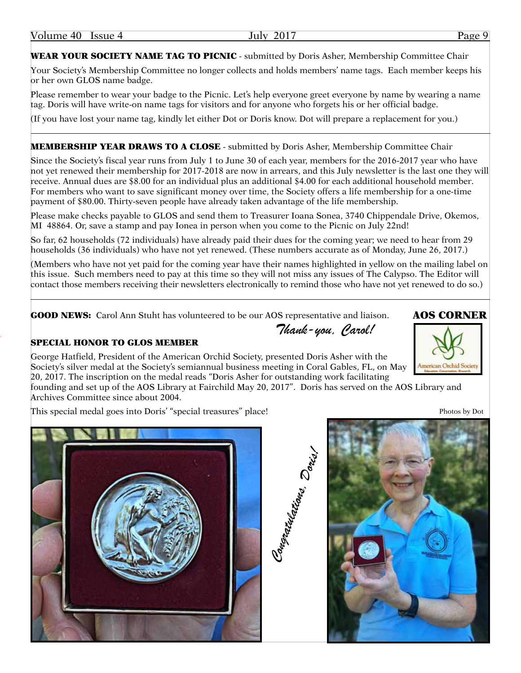WEAR YOUR SOCIETY NAME TAG TO PICNIC - submitted by Doris Asher, Membership Committee Chair

Your Society's Membership Committee no longer collects and holds members' name tags. Each member keeps his or her own GLOS name badge.

Please remember to wear your badge to the Picnic. Let's help everyone greet everyone by name by wearing a name tag. Doris will have write-on name tags for visitors and for anyone who forgets his or her official badge.

(If you have lost your name tag, kindly let either Dot or Doris know. Dot will prepare a replacement for you.)

### **MEMBERSHIP YEAR DRAWS TO A CLOSE** - submitted by Doris Asher, Membership Committee Chair

Since the Society's fiscal year runs from July 1 to June 30 of each year, members for the 2016-2017 year who have not yet renewed their membership for 2017-2018 are now in arrears, and this July newsletter is the last one they will receive. Annual dues are \$8.00 for an individual plus an additional \$4.00 for each additional household member. For members who want to save significant money over time, the Society offers a life membership for a one-time payment of \$80.00. Thirty-seven people have already taken advantage of the life membership.

Please make checks payable to GLOS and send them to Treasurer Ioana Sonea, 3740 Chippendale Drive, Okemos, MI 48864. Or, save a stamp and pay Ionea in person when you come to the Picnic on July 22nd!

So far, 62 households (72 individuals) have already paid their dues for the coming year; we need to hear from 29 households (36 individuals) who have not yet renewed. (These numbers accurate as of Monday, June 26, 2017.)

(Members who have not yet paid for the coming year have their names highlighted in yellow on the mailing label on this issue. Such members need to pay at this time so they will not miss any issues of The Calypso. The Editor will contact those members receiving their newsletters electronically to remind those who have not yet renewed to do so.)

*Thank-you, Carol!*

GOOD NEWS: Carol Ann Stuht has volunteered to be our AOS representative and liaison.

#### SPECIAL HONOR TO GLOS MEMBER

George Hatfield, President of the American Orchid Society, presented Doris Asher with the Society's silver medal at the Society's semiannual business meeting in Coral Gables, FL, on May 20, 2017. The inscription on the medal reads "Doris Asher for outstanding work facilitating

founding and set up of the AOS Library at Fairchild May 20, 2017". Doris has served on the AOS Library and Archives Committee since about 2004.

This special medal goes into Doris' "special treasures" place! Photos by Dot





# AOS CORNER

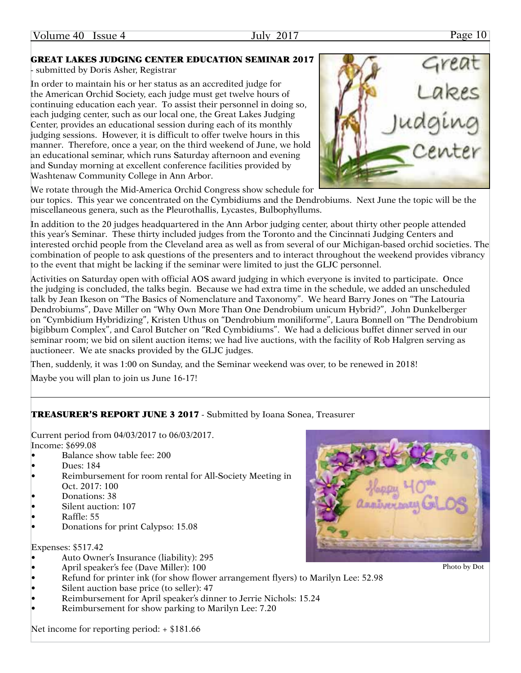#### GREAT LAKES JUDGING CENTER EDUCATION SEMINAR 2017

- submitted by Doris Asher, Registrar

In order to maintain his or her status as an accredited judge for the American Orchid Society, each judge must get twelve hours of continuing education each year. To assist their personnel in doing so, each judging center, such as our local one, the Great Lakes Judging Center, provides an educational session during each of its monthly judging sessions. However, it is difficult to offer twelve hours in this manner. Therefore, once a year, on the third weekend of June, we hold an educational seminar, which runs Saturday afternoon and evening and Sunday morning at excellent conference facilities provided by Washtenaw Community College in Ann Arbor.

We rotate through the Mid-America Orchid Congress show schedule for

our topics. This year we concentrated on the Cymbidiums and the Dendrobiums. Next June the topic will be the miscellaneous genera, such as the Pleurothallis, Lycastes, Bulbophyllums.

In addition to the 20 judges headquartered in the Ann Arbor judging center, about thirty other people attended this year's Seminar. These thirty included judges from the Toronto and the Cincinnati Judging Centers and interested orchid people from the Cleveland area as well as from several of our Michigan-based orchid societies. The combination of people to ask questions of the presenters and to interact throughout the weekend provides vibrancy to the event that might be lacking if the seminar were limited to just the GLJC personnel.

Activities on Saturday open with official AOS award judging in which everyone is invited to participate. Once the judging is concluded, the talks begin. Because we had extra time in the schedule, we added an unscheduled talk by Jean Ikeson on "The Basics of Nomenclature and Taxonomy". We heard Barry Jones on "The Latouria Dendrobiums", Dave Miller on "Why Own More Than One Dendrobium unicum Hybrid?", John Dunkelberger on "Cymbidium Hybridizing", Kristen Uthus on "Dendrobium moniliforme", Laura Bonnell on "The Dendrobium bigibbum Complex", and Carol Butcher on "Red Cymbidiums". We had a delicious buffet dinner served in our seminar room; we bid on silent auction items; we had live auctions, with the facility of Rob Halgren serving as auctioneer. We ate snacks provided by the GLJC judges.

Then, suddenly, it was 1:00 on Sunday, and the Seminar weekend was over, to be renewed in 2018!

Maybe you will plan to join us June 16-17!

#### TREASURER'S REPORT JUNE 3 2017 - Submitted by Ioana Sonea, Treasurer

Current period from 04/03/2017 to 06/03/2017. Income: \$699.08

- Balance show table fee: 200
- Dues: 184
- Reimbursement for room rental for All-Society Meeting in Oct. 2017: 100
- Donations: 38
- Silent auction: 107
- Raffle: 55
- Donations for print Calypso: 15.08

Expenses: \$517.42

- Auto Owner's Insurance (liability): 295
- April speaker's fee (Dave Miller): 100
- Refund for printer ink (for show flower arrangement flyers) to Marilyn Lee: 52.98
- Silent auction base price (to seller): 47
- Reimbursement for April speaker's dinner to Jerrie Nichols: 15.24
- Reimbursement for show parking to Marilyn Lee: 7.20

Net income for reporting period: + \$181.66





Photo by Dot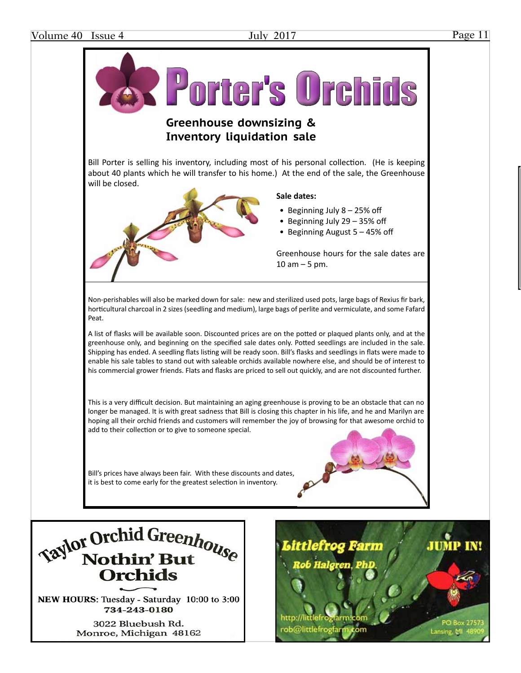**PO Box 275** 

Lansing, MI



rob@littlefrogfar

3022 Bluebush Rd. Monroe, Michigan 48162